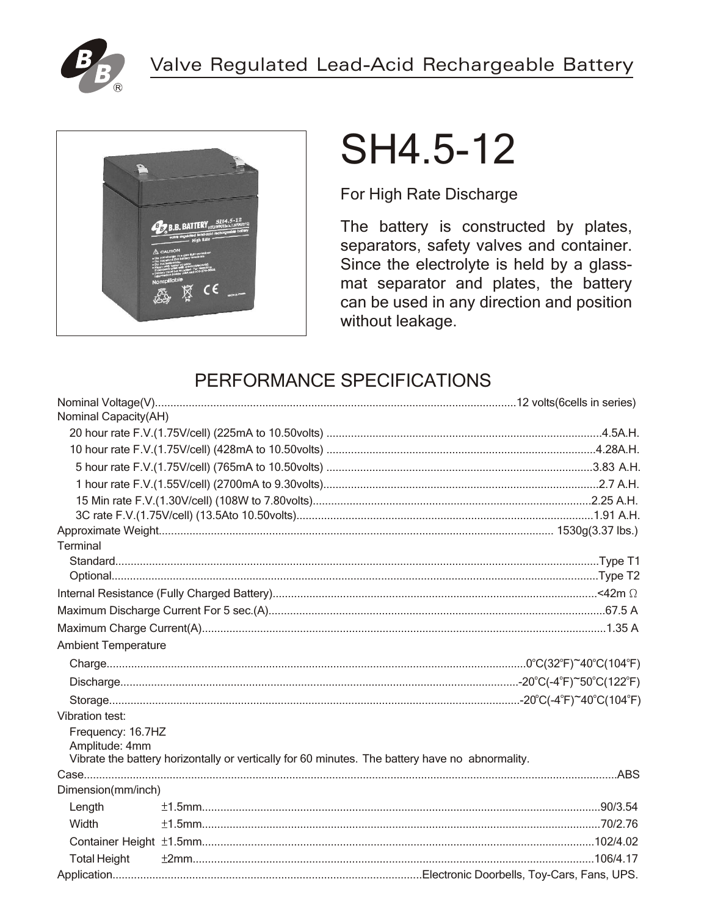



# SH4.5-12

For High Rate Discharge

The battery is constructed by plates, separators, safety valves and container. Since the electrolyte is held by a glassmat separator and plates, the battery can be used in any direction and position without leakage.

# PERFORMANCE SPECIFICATIONS

| Nominal Capacity(AH)                |                                                                                                 |  |
|-------------------------------------|-------------------------------------------------------------------------------------------------|--|
|                                     |                                                                                                 |  |
|                                     |                                                                                                 |  |
|                                     |                                                                                                 |  |
|                                     |                                                                                                 |  |
|                                     |                                                                                                 |  |
|                                     |                                                                                                 |  |
|                                     |                                                                                                 |  |
| Terminal                            |                                                                                                 |  |
|                                     |                                                                                                 |  |
|                                     |                                                                                                 |  |
|                                     |                                                                                                 |  |
|                                     |                                                                                                 |  |
|                                     |                                                                                                 |  |
| <b>Ambient Temperature</b>          |                                                                                                 |  |
|                                     |                                                                                                 |  |
|                                     |                                                                                                 |  |
|                                     |                                                                                                 |  |
| Vibration test:                     |                                                                                                 |  |
| Frequency: 16.7HZ<br>Amplitude: 4mm | Vibrate the battery horizontally or vertically for 60 minutes. The battery have no abnormality. |  |
|                                     |                                                                                                 |  |
| Dimension(mm/inch)                  |                                                                                                 |  |
| Length                              |                                                                                                 |  |
| Width                               |                                                                                                 |  |
|                                     |                                                                                                 |  |
| <b>Total Height</b>                 |                                                                                                 |  |
|                                     |                                                                                                 |  |